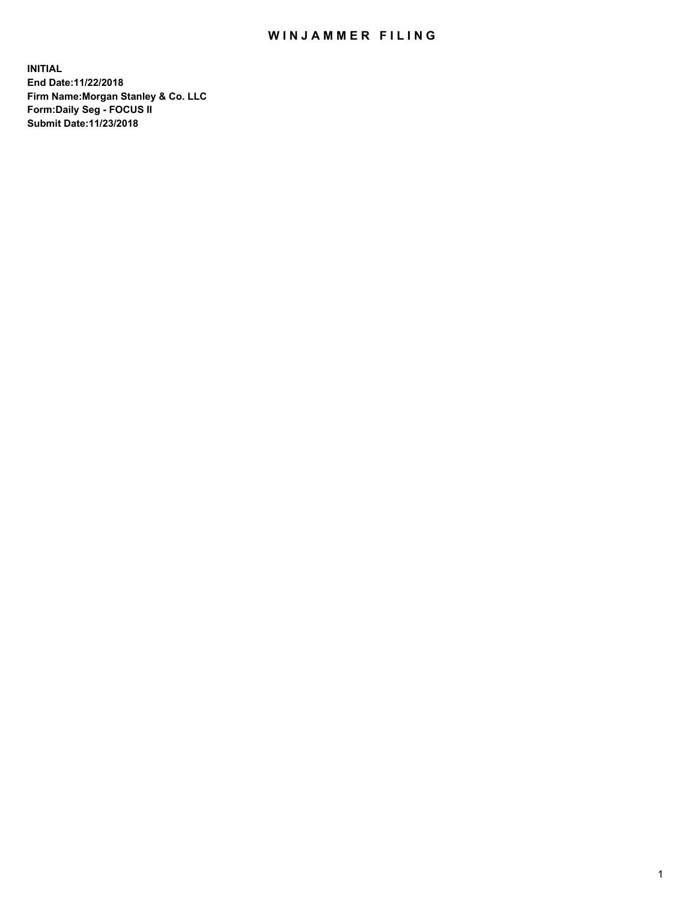## WIN JAMMER FILING

**INITIAL End Date:11/22/2018 Firm Name:Morgan Stanley & Co. LLC Form:Daily Seg - FOCUS II Submit Date:11/23/2018**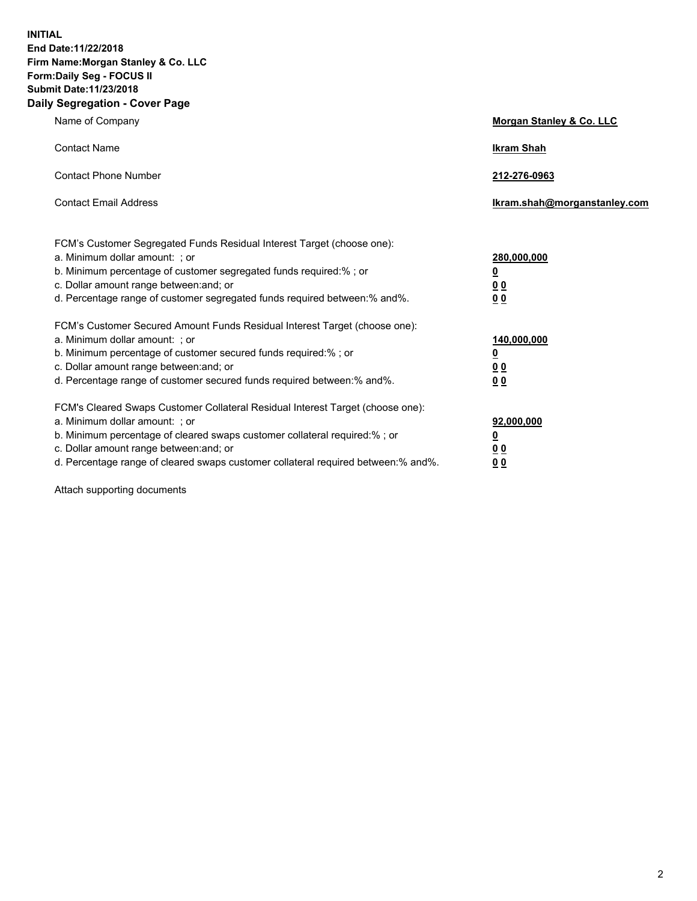**INITIAL End Date:11/22/2018 Firm Name:Morgan Stanley & Co. LLC Form:Daily Seg - FOCUS II Submit Date:11/23/2018 Daily Segregation - Cover Page**

| Name of Company                                                                                                                                                                                                                                                                                                                | Morgan Stanley & Co. LLC                               |
|--------------------------------------------------------------------------------------------------------------------------------------------------------------------------------------------------------------------------------------------------------------------------------------------------------------------------------|--------------------------------------------------------|
| <b>Contact Name</b>                                                                                                                                                                                                                                                                                                            | <b>Ikram Shah</b>                                      |
| <b>Contact Phone Number</b>                                                                                                                                                                                                                                                                                                    | 212-276-0963                                           |
| <b>Contact Email Address</b>                                                                                                                                                                                                                                                                                                   | Ikram.shah@morganstanley.com                           |
| FCM's Customer Segregated Funds Residual Interest Target (choose one):<br>a. Minimum dollar amount: ; or<br>b. Minimum percentage of customer segregated funds required:% ; or<br>c. Dollar amount range between: and; or<br>d. Percentage range of customer segregated funds required between:% and%.                         | 280,000,000<br><u>0</u><br>00<br>00                    |
| FCM's Customer Secured Amount Funds Residual Interest Target (choose one):<br>a. Minimum dollar amount: ; or<br>b. Minimum percentage of customer secured funds required:% ; or<br>c. Dollar amount range between: and; or<br>d. Percentage range of customer secured funds required between: % and %.                         | 140,000,000<br><u>0</u><br><u>00</u><br>0 <sub>0</sub> |
| FCM's Cleared Swaps Customer Collateral Residual Interest Target (choose one):<br>a. Minimum dollar amount: ; or<br>b. Minimum percentage of cleared swaps customer collateral required:% ; or<br>c. Dollar amount range between: and; or<br>d. Percentage range of cleared swaps customer collateral required between:% and%. | 92,000,000<br><u>0</u><br>0 Q<br>00                    |

Attach supporting documents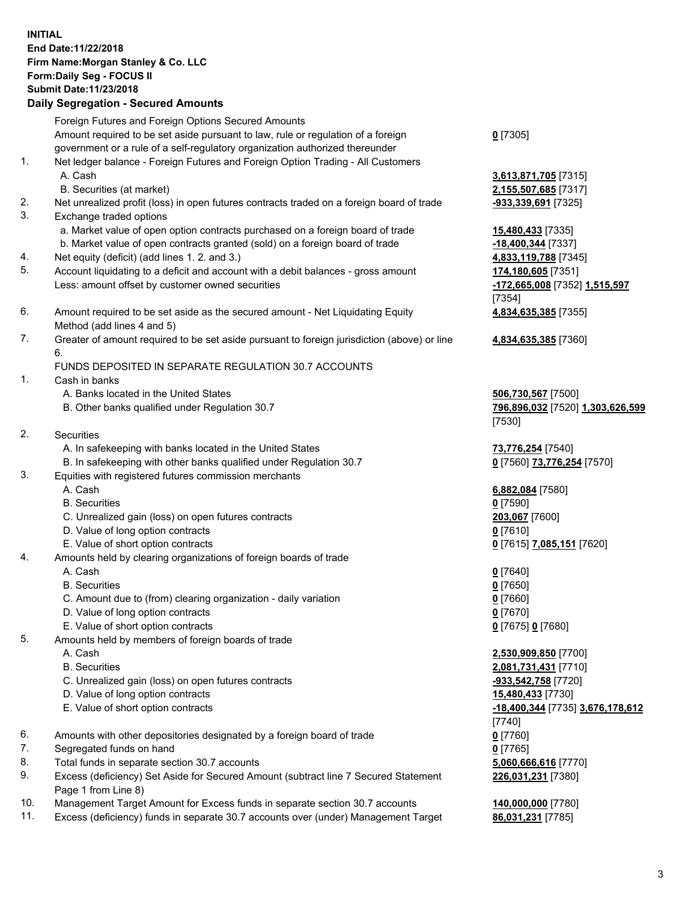## **INITIAL End Date:11/22/2018 Firm Name:Morgan Stanley & Co. LLC Form:Daily Seg - FOCUS II Submit Date:11/23/2018**

**Daily Segregation - Secured Amounts** Foreign Futures and Foreign Options Secured Amounts Amount required to be set aside pursuant to law, rule or regulation of a foreign government or a rule of a self-regulatory organization authorized thereunder 1. Net ledger balance - Foreign Futures and Foreign Option Trading - All Customers A. Cash **3,613,871,705** [7315] B. Securities (at market) **2,155,507,685** [7317] 2. Net unrealized profit (loss) in open futures contracts traded on a foreign board of trade **-933,339,691** [7325] 3. Exchange traded options a. Market value of open option contracts purchased on a foreign board of trade **15,480,433** [7335] b. Market value of open contracts granted (sold) on a foreign board of trade **-18,400,344** [7337] 4. Net equity (deficit) (add lines 1. 2. and 3.) **4,833,119,788** [7345] 5. Account liquidating to a deficit and account with a debit balances - gross amount **174,180,605** [7351] Less: amount offset by customer owned securities **-172,665,008** [7352] **1,515,597** 6. Amount required to be set aside as the secured amount - Net Liquidating Equity Method (add lines 4 and 5) 7. Greater of amount required to be set aside pursuant to foreign jurisdiction (above) or line 6. FUNDS DEPOSITED IN SEPARATE REGULATION 30.7 ACCOUNTS 1. Cash in banks A. Banks located in the United States **506,730,567** [7500] B. Other banks qualified under Regulation 30.7 **796,896,032** [7520] **1,303,626,599** 2. Securities A. In safekeeping with banks located in the United States **73,776,254** [7540] B. In safekeeping with other banks qualified under Regulation 30.7 **0** [7560] **73,776,254** [7570] 3. Equities with registered futures commission merchants A. Cash **6,882,084** [7580] B. Securities **0** [7590] C. Unrealized gain (loss) on open futures contracts **203,067** [7600] D. Value of long option contracts **0** [7610] E. Value of short option contracts **0** [7615] **7,085,151** [7620] 4. Amounts held by clearing organizations of foreign boards of trade A. Cash **0** [7640] B. Securities **0** [7650] C. Amount due to (from) clearing organization - daily variation **0** [7660]

- D. Value of long option contracts **0** [7670]
- E. Value of short option contracts **0** [7675] **0** [7680]
- 5. Amounts held by members of foreign boards of trade
	-
	-
	- C. Unrealized gain (loss) on open futures contracts **-933,542,758** [7720]
	- D. Value of long option contracts **15,480,433** [7730]
	- E. Value of short option contracts **-18,400,344** [7735] **3,676,178,612**
- 6. Amounts with other depositories designated by a foreign board of trade **0** [7760]
- 7. Segregated funds on hand **0** [7765]
- 8. Total funds in separate section 30.7 accounts **5,060,666,616** [7770]
- 9. Excess (deficiency) Set Aside for Secured Amount (subtract line 7 Secured Statement Page 1 from Line 8)
- 10. Management Target Amount for Excess funds in separate section 30.7 accounts **140,000,000** [7780]
- 11. Excess (deficiency) funds in separate 30.7 accounts over (under) Management Target **86,031,231** [7785]

**0** [7305]

[7354] **4,834,635,385** [7355]

**4,834,635,385** [7360]

[7530]

 A. Cash **2,530,909,850** [7700] B. Securities **2,081,731,431** [7710] [7740] **226,031,231** [7380]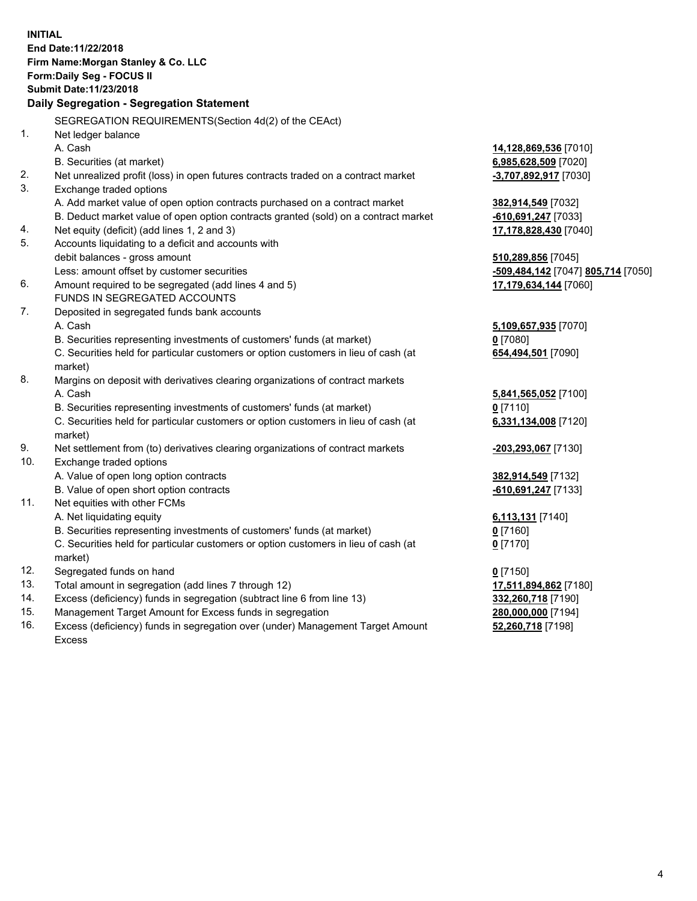**INITIAL End Date:11/22/2018 Firm Name:Morgan Stanley & Co. LLC Form:Daily Seg - FOCUS II Submit Date:11/23/2018 Daily Segregation - Segregation Statement** SEGREGATION REQUIREMENTS(Section 4d(2) of the CEAct) 1. Net ledger balance A. Cash **14,128,869,536** [7010] B. Securities (at market) **6,985,628,509** [7020] 2. Net unrealized profit (loss) in open futures contracts traded on a contract market **-3,707,892,917** [7030] 3. Exchange traded options A. Add market value of open option contracts purchased on a contract market **382,914,549** [7032] B. Deduct market value of open option contracts granted (sold) on a contract market **-610,691,247** [7033] 4. Net equity (deficit) (add lines 1, 2 and 3) **17,178,828,430** [7040] 5. Accounts liquidating to a deficit and accounts with debit balances - gross amount **510,289,856** [7045] Less: amount offset by customer securities **-509,484,142** [7047] **805,714** [7050] 6. Amount required to be segregated (add lines 4 and 5) **17,179,634,144** [7060] FUNDS IN SEGREGATED ACCOUNTS 7. Deposited in segregated funds bank accounts A. Cash **5,109,657,935** [7070] B. Securities representing investments of customers' funds (at market) **0** [7080] C. Securities held for particular customers or option customers in lieu of cash (at market) **654,494,501** [7090] 8. Margins on deposit with derivatives clearing organizations of contract markets A. Cash **5,841,565,052** [7100] B. Securities representing investments of customers' funds (at market) **0** [7110] C. Securities held for particular customers or option customers in lieu of cash (at market) **6,331,134,008** [7120] 9. Net settlement from (to) derivatives clearing organizations of contract markets **-203,293,067** [7130] 10. Exchange traded options A. Value of open long option contracts **382,914,549** [7132] B. Value of open short option contracts **-610,691,247** [7133] 11. Net equities with other FCMs A. Net liquidating equity **6,113,131** [7140] B. Securities representing investments of customers' funds (at market) **0** [7160] C. Securities held for particular customers or option customers in lieu of cash (at market) **0** [7170] 12. Segregated funds on hand **0** [7150] 13. Total amount in segregation (add lines 7 through 12) **17,511,894,862** [7180] 14. Excess (deficiency) funds in segregation (subtract line 6 from line 13) **332,260,718** [7190] 15. Management Target Amount for Excess funds in segregation **280,000,000** [7194]

16. Excess (deficiency) funds in segregation over (under) Management Target Amount Excess

**52,260,718** [7198]